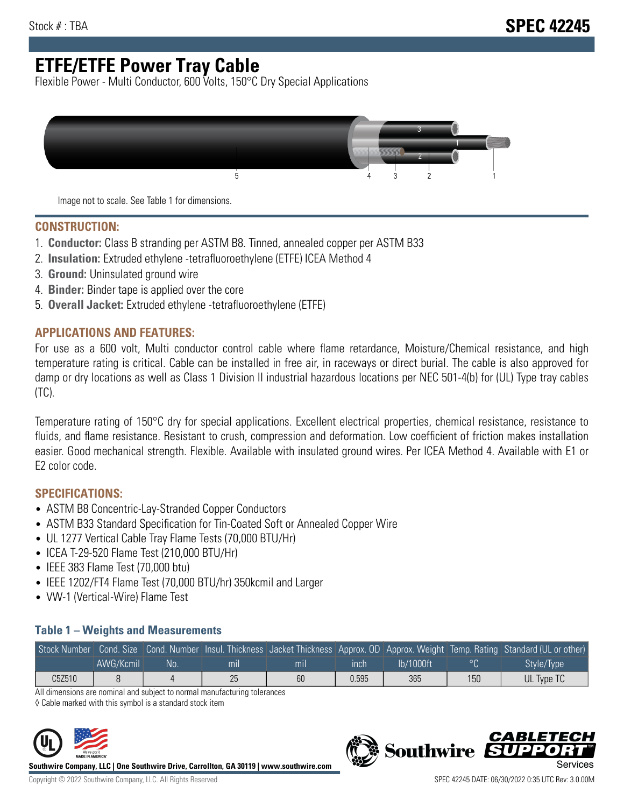# **ETFE/ETFE Power Tray Cable**

Flexible Power - Multi Conductor, 600 Volts, 150°C Dry Special Applications



Image not to scale. See Table 1 for dimensions.

#### **CONSTRUCTION:**

- 1. **Conductor:** Class B stranding per ASTM B8. Tinned, annealed copper per ASTM B33
- 2. **Insulation:** Extruded ethylene -tetrafluoroethylene (ETFE) ICEA Method 4
- 3. **Ground:** Uninsulated ground wire
- 4. **Binder:** Binder tape is applied over the core
- 5. **Overall Jacket:** Extruded ethylene -tetrafluoroethylene (ETFE)

### **APPLICATIONS AND FEATURES:**

For use as a 600 volt, Multi conductor control cable where flame retardance, Moisture/Chemical resistance, and high temperature rating is critical. Cable can be installed in free air, in raceways or direct burial. The cable is also approved for damp or dry locations as well as Class 1 Division II industrial hazardous locations per NEC 501-4(b) for (UL) Type tray cables (TC).

Temperature rating of 150°C dry for special applications. Excellent electrical properties, chemical resistance, resistance to fluids, and flame resistance. Resistant to crush, compression and deformation. Low coefficient of friction makes installation easier. Good mechanical strength. Flexible. Available with insulated ground wires. Per ICEA Method 4. Available with E1 or E2 color code.

## **SPECIFICATIONS:**

- ASTM B8 Concentric-Lay-Stranded Copper Conductors
- ASTM B33 Standard Specification for Tin-Coated Soft or Annealed Copper Wire
- UL 1277 Vertical Cable Tray Flame Tests (70,000 BTU/Hr)
- ICEA T-29-520 Flame Test (210,000 BTU/Hr)
- IEEE 383 Flame Test (70,000 btu)
- IEEE 1202/FT4 Flame Test (70,000 BTU/hr) 350kcmil and Larger
- VW-1 (Vertical-Wire) Flame Test

### **Table 1 – Weights and Measurements**

|        |           |     |     |     |       |           |     | Stock Number Cond. Size Cond. Number Insul. Thickness Jacket Thickness Approx. OD Approx. Weight Temp. Rating Standard (UL or other) |
|--------|-----------|-----|-----|-----|-------|-----------|-----|--------------------------------------------------------------------------------------------------------------------------------------|
|        | AWG/Kcmil | No. | mıl | mil | ınch  | lb/1000ft |     | Style/Type <sup>1</sup>                                                                                                              |
| C5Z510 |           |     | 25  | 60  | 0.595 | 365       | 150 | UL Type TC                                                                                                                           |

All dimensions are nominal and subject to normal manufacturing tolerances

◊ Cable marked with this symbol is a standard stock item



**Southwire Company, LLC | One Southwire Drive, Carrollton, GA 30119 | www.southwire.com**

**Southwire** 

CARLET